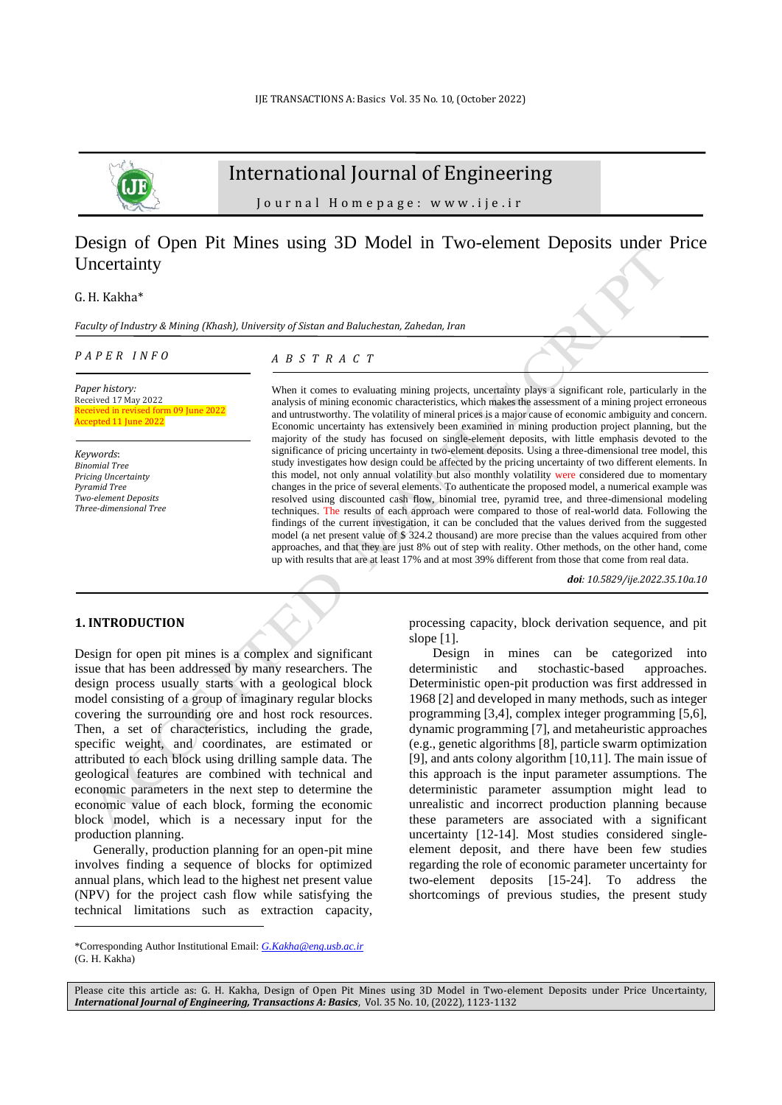

# International Journal of Engineering

J o u r n a l H o m e p a g e : w w w . i j e . i r

# Design of Open Pit Mines using 3D Model in Two-element Deposits under Price **Uncertainty**

G. H. Kakha\*

*Faculty of Industry & Mining (Khash), University of Sistan and Baluchestan, Zahedan, Iran*

#### *P A P E R I N F O*

*A B S T R A C T*

*Paper history:* Received 17 May 2022 Received in revised form 09 June 2022 cepted 11 June 2022

*Keywords*: *Binomial Tree Pricing Uncertainty Pyramid Tree Two-element Deposits Three-dimensional Tree*

When it comes to evaluating mining projects, uncertainty plays a significant role, particularly in the analysis of mining economic characteristics, which makes the assessment of a mining project erroneous and untrustworthy. The volatility of mineral prices is a major cause of economic ambiguity and concern. Economic uncertainty has extensively been examined in mining production project planning, but the majority of the study has focused on single-element deposits, with little emphasis devoted to the significance of pricing uncertainty in two-element deposits. Using a three-dimensional tree model, this study investigates how design could be affected by the pricing uncertainty of two different elements. In this model, not only annual volatility but also monthly volatility were considered due to momentary changes in the price of several elements. To authenticate the proposed model, a numerical example was resolved using discounted cash flow, binomial tree, pyramid tree, and three-dimensional modeling techniques. The results of each approach were compared to those of real-world data. Following the findings of the current investigation, it can be concluded that the values derived from the suggested model (a net present value of \$ 324.2 thousand) are more precise than the values acquired from other approaches, and that they are just 8% out of step with reality. Other methods, on the other hand, come up with results that are at least 17% and at most 39% different from those that come from real data.

*doi: 10.5829/ije.2022.35.10a.10*

#### **1. INTRODUCTION<sup>1</sup>**

Design for open pit mines is a complex and significant issue that has been addressed by many researchers. The design process usually starts with a geological block model consisting of a group of imaginary regular blocks covering the surrounding ore and host rock resources. Then, a set of characteristics, including the grade, specific weight, and coordinates, are estimated or attributed to each block using drilling sample data. The geological features are combined with technical and economic parameters in the next step to determine the economic value of each block, forming the economic block model, which is a necessary input for the production planning.

Generally, production planning for an open-pit mine involves finding a sequence of blocks for optimized annual plans, which lead to the highest net present value (NPV) for the project cash flow while satisfying the technical limitations such as extraction capacity, processing capacity, block derivation sequence, and pit slope [1].

Design in mines can be categorized into deterministic and stochastic-based approaches. Deterministic open-pit production was first addressed in 1968 [2] and developed in many methods, such as integer programming [3,4], complex integer programming [5,6], dynamic programming [7], and metaheuristic approaches (e.g., genetic algorithms [8], particle swarm optimization [9], and ants colony algorithm [10,11]. The main issue of this approach is the input parameter assumptions. The deterministic parameter assumption might lead to unrealistic and incorrect production planning because these parameters are associated with a significant uncertainty [12-14]. Most studies considered singleelement deposit, and there have been few studies regarding the role of economic parameter uncertainty for two-element deposits [15-24]. To address the shortcomings of previous studies, the present study

Please cite this article as: G. H. Kakha, Design of Open Pit Mines using 3D Model in Two-element Deposits under Price Uncertainty, *International Journal of Engineering, Transactions A: Basics*, Vol. 35 No. 10, (2022), 1123-1132

<sup>\*</sup>Corresponding Author Institutional Email: *[G.Kakha@eng.usb.ac.ir](mailto:G.Kakha@eng.usb.ac.ir)*  $(G<sub>H</sub>$  Kakha)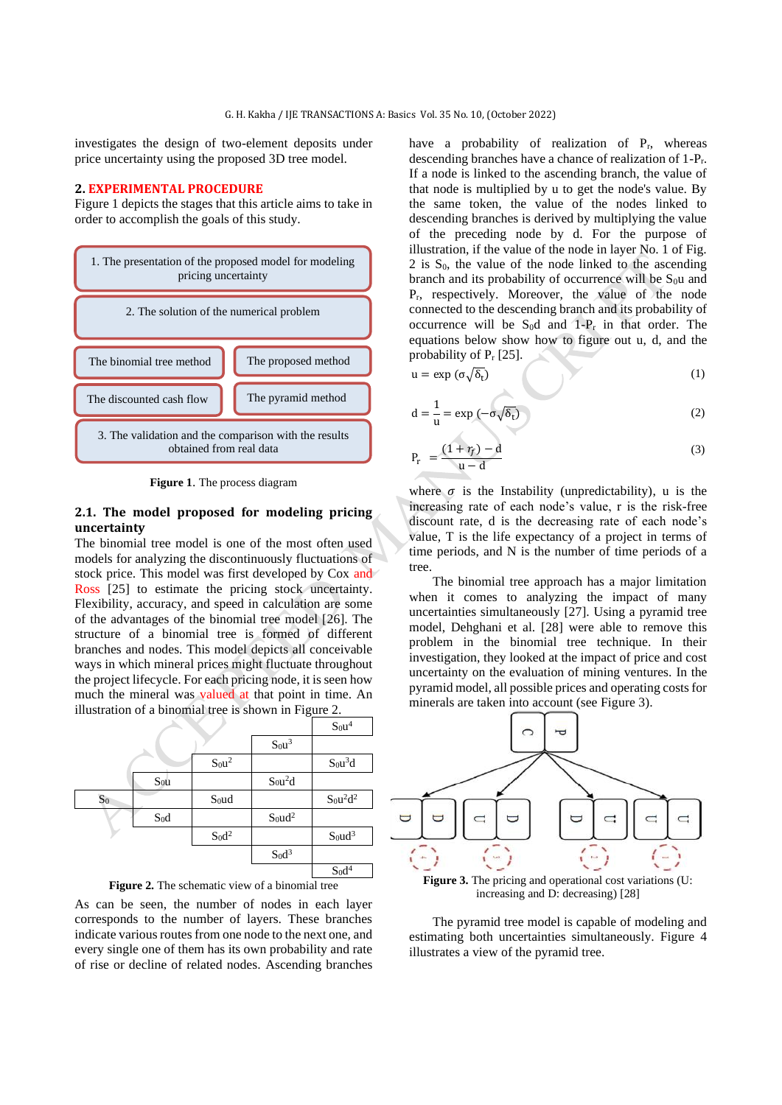investigates the design of two-element deposits under price uncertainty using the proposed 3D tree model.

#### **2. EXPERIMENTAL PROCEDURE**

Figure 1 depicts the stages that this article aims to take in order to accomplish the goals of this study.



**Figure 1**. The process diagram

## **2.1. The model proposed for modeling pricing uncertainty**

The binomial tree model is one of the most often used models for analyzing the discontinuously fluctuations of stock price. This model was first developed by Cox and Ross [25] to estimate the pricing stock uncertainty. Flexibility, accuracy, and speed in calculation are some of the advantages of the binomial tree model [26]. The structure of a binomial tree is formed of different branches and nodes. This model depicts all conceivable ways in which mineral prices might fluctuate throughout the project lifecycle. For each pricing node, it is seen how much the mineral was valued at that point in time. An illustration of a binomial tree is shown in Figure 2.





As can be seen, the number of nodes in each layer corresponds to the number of layers. These branches indicate various routes from one node to the next one, and every single one of them has its own probability and rate of rise or decline of related nodes. Ascending branches

have a probability of realization of  $P_r$ , whereas descending branches have a chance of realization of 1-Pr. If a node is linked to the ascending branch, the value of that node is multiplied by u to get the node's value. By the same token, the value of the nodes linked to descending branches is derived by multiplying the value of the preceding node by d. For the purpose of illustration, if the value of the node in layer No. 1 of Fig.  $2$  is  $S_0$ , the value of the node linked to the ascending branch and its probability of occurrence will be  $S_0u$  and Pr, respectively. Moreover, the value of the node connected to the descending branch and its probability of occurrence will be  $S_0d$  and 1- $P_r$  in that order. The equations below show how to figure out u, d, and the probability of  $P_r$  [25].

$$
u = \exp\left(\sigma\sqrt{\delta_t}\right) \tag{1}
$$

$$
d = \frac{1}{u} = \exp(-\sigma\sqrt{\delta_t})
$$
 (2)

$$
P_r = \frac{(1+r_f)-d}{u-d} \tag{3}
$$

where  $\sigma$  is the Instability (unpredictability), u is the increasing rate of each node's value, r is the risk-free discount rate, d is the decreasing rate of each node's value, T is the life expectancy of a project in terms of time periods, and N is the number of time periods of a tree.

The binomial tree approach has a major limitation when it comes to analyzing the impact of many uncertainties simultaneously [27]. Using a pyramid tree model, Dehghani et al. [28] were able to remove this problem in the binomial tree technique. In their investigation, they looked at the impact of price and cost uncertainty on the evaluation of mining ventures. In the pyramid model, all possible prices and operating costs for minerals are taken into account (see Figure 3).



**Figure 3.** The pricing and operational cost variations (U: increasing and D: decreasing) [28]

The pyramid tree model is capable of modeling and estimating both uncertainties simultaneously. Figure 4 illustrates a view of the pyramid tree.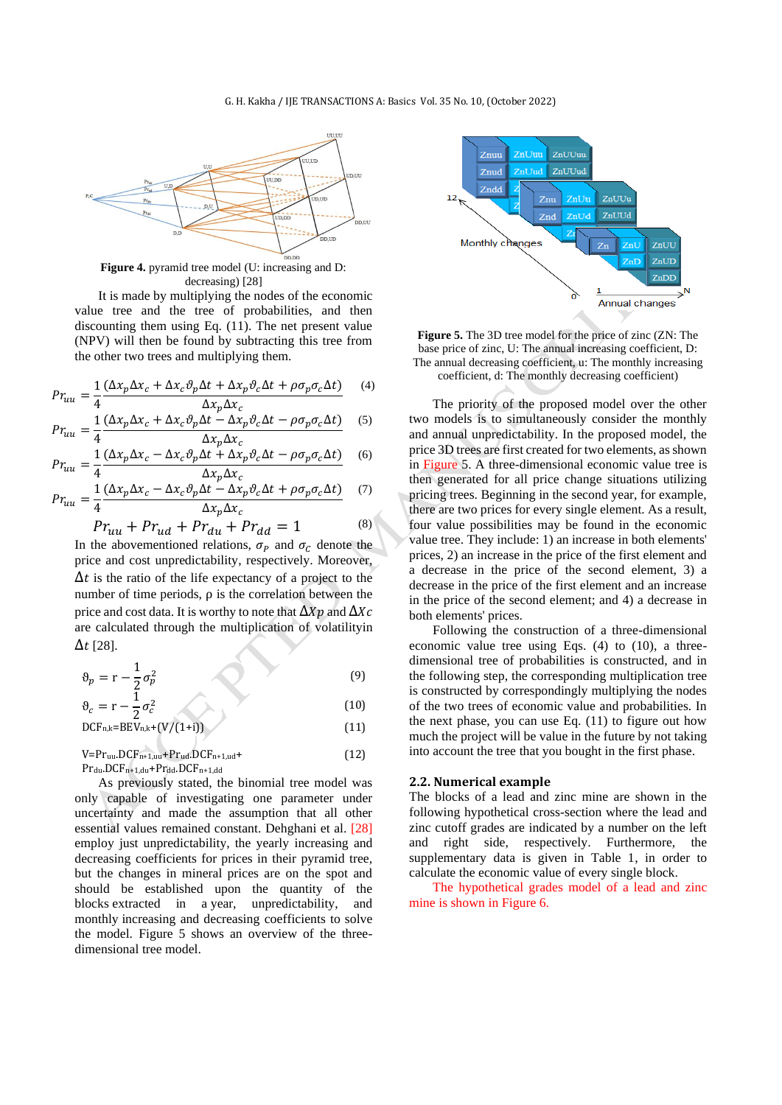#### G. H. Kakha / IJE TRANSACTIONS A: Basics Vol. 35 No. 10, (October 2022)



**Figure 4.** pyramid tree model (U: increasing and D: decreasing) [28]

It is made by multiplying the nodes of the economic value tree and the tree of probabilities, and then discounting them using Eq. (11). The net present value (NPV) will then be found by subtracting this tree from the other two trees and multiplying them.

$$
Pr_{uu} = \frac{1}{4} \frac{(\Delta x_p \Delta x_c + \Delta x_c \vartheta_p \Delta t + \Delta x_p \vartheta_c \Delta t + \rho \sigma_p \sigma_c \Delta t)}{\Delta x_c \Delta x}
$$
 (4)

$$
Pr_{uu} = \frac{1}{4} \frac{\Delta x_p \Delta x_c}{\Delta x_c \Delta x_c + \Delta x_c \partial_p \Delta t - \Delta x_p \partial_c \Delta t - \rho \sigma_p \sigma_c \Delta t} \tag{5}
$$

$$
Pr_{uu} = \frac{1}{4} \frac{(\Delta x_p \Delta x_c - \Delta x_c \vartheta_p \Delta t + \Delta x_p \vartheta_c \Delta t - \rho \sigma_p \sigma_c \Delta t)}{\Delta x_p \Delta x_c}
$$
(6)

$$
Pr_{uu} = \frac{1}{4} \frac{(\Delta x_p \Delta x_c - \Delta x_c \vartheta_p \Delta t - \Delta x_p \vartheta_c \Delta t + \rho \sigma_p \sigma_c \Delta t)}{\Delta x_p \Delta x_c}
$$
(7)

$$
Pr_{uu} + Pr_{ud} + Pr_{du} + Pr_{dd} = 1 \tag{8}
$$

In the abovementioned relations,  $\sigma_p$  and  $\sigma_c$  denote the price and cost unpredictability, respectively. Moreover,  $\Delta t$  is the ratio of the life expectancy of a project to the number of time periods, ρ is the correlation between the price and cost data. It is worthy to note that  $\Delta Xp$  and  $\Delta Xc$ are calculated through the multiplication of volatilityin  $\Delta t$  [28].

$$
\vartheta_p = r - \frac{1}{2} \sigma_p^2 \tag{9}
$$

$$
\vartheta_c = r - \frac{1}{2}\sigma_c^2 \tag{10}
$$

$$
\begin{array}{c}\n\text{C} \\
\text{DCF}_{n,k} = BEV_{n,k} + (V/(1+i))\n\end{array} \tag{11}
$$

$$
V = Pr_{uu} \cdot DCF_{n+1,uu} + Pr_{ud} \cdot DCF_{n+1,ud} +
$$
  
\n
$$
Pr_{du} \cdot DCF_{n+1,du} + Pr_{dd} \cdot DCF_{n+1,dd}
$$
\n(12)

As previously stated, the binomial tree model was only capable of investigating one parameter under uncertainty and made the assumption that all other essential values remained constant. Dehghani et al. [28] employ just unpredictability, the yearly increasing and decreasing coefficients for prices in their pyramid tree, but the changes in mineral prices are on the spot and should be established upon the quantity of the blocks extracted in a year, unpredictability, and monthly increasing and decreasing coefficients to solve the model. Figure 5 shows an overview of the threedimensional tree model.



**Figure 5.** The 3D tree model for the price of zinc (ZN: The base price of zinc, U: The annual increasing coefficient, D: The annual decreasing coefficient, u: The monthly increasing coefficient, d: The monthly decreasing coefficient)

The priority of the proposed model over the other two models is to simultaneously consider the monthly and annual unpredictability. In the proposed model, the price 3D trees are first created for two elements, as shown in Figure 5. A three-dimensional economic value tree is then generated for all price change situations utilizing pricing trees. Beginning in the second year, for example, there are two prices for every single element. As a result, four value possibilities may be found in the economic value tree. They include: 1) an increase in both elements' prices, 2) an increase in the price of the first element and a decrease in the price of the second element, 3) a decrease in the price of the first element and an increase in the price of the second element; and 4) a decrease in both elements' prices.

Following the construction of a three-dimensional economic value tree using Eqs. (4) to (10), a threedimensional tree of probabilities is constructed, and in the following step, the corresponding multiplication tree is constructed by correspondingly multiplying the nodes of the two trees of economic value and probabilities. In the next phase, you can use Eq.  $(11)$  to figure out how much the project will be value in the future by not taking into account the tree that you bought in the first phase.

#### **2.2. Numerical example**

The blocks of a lead and zinc mine are shown in the following hypothetical cross-section where the lead and zinc cutoff grades are indicated by a number on the left and right side, respectively. Furthermore, the supplementary data is given in Table 1, in order to calculate the economic value of every single block.

The hypothetical grades model of a lead and zinc mine is shown in Figure 6.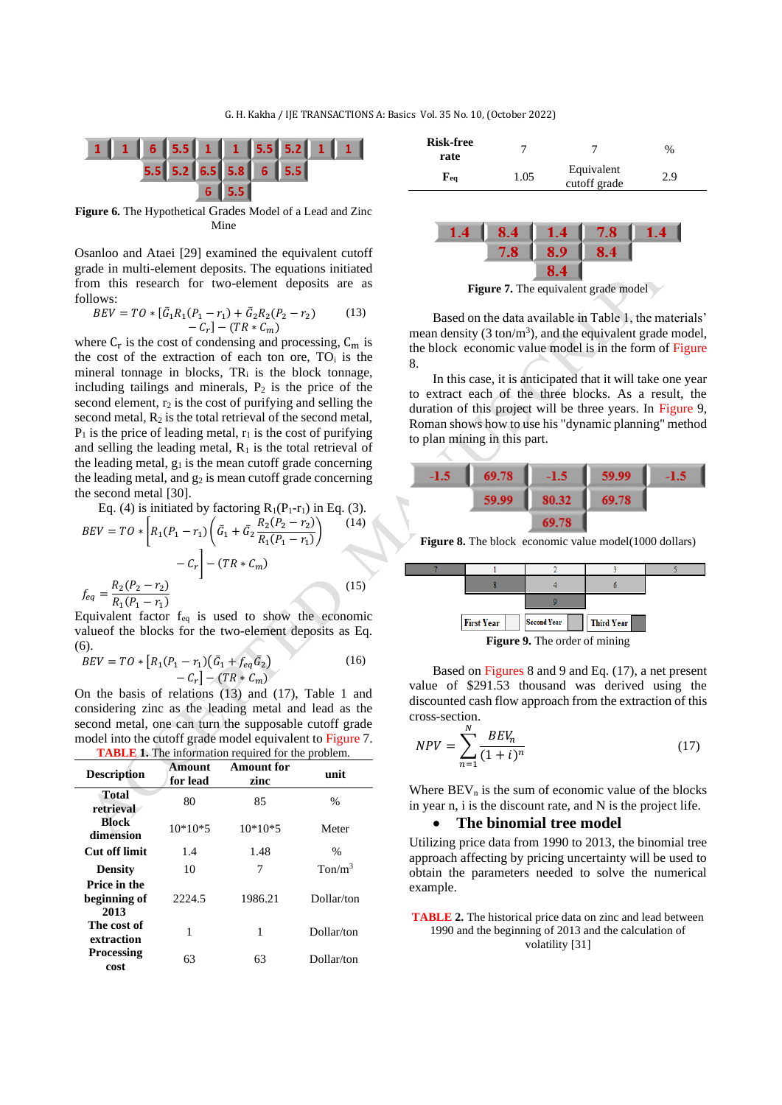

**Figure 6.** The Hypothetical Grades Model of a Lead and Zinc Mine

Osanloo and Ataei [29] examined the equivalent cutoff grade in multi-element deposits. The equations initiated from this research for two-element deposits are as follows:

$$
BEV = TO * [\bar{G}_1 R_1 (P_1 - r_1) + \bar{G}_2 R_2 (P_2 - r_2) - C_r] - (TR * C_m)
$$
 (13)

where  $C_r$  is the cost of condensing and processing,  $C_m$  is the cost of the extraction of each ton ore,  $TO_i$  is the mineral tonnage in blocks, TR<sup>i</sup> is the block tonnage, including tailings and minerals,  $P_2$  is the price of the second element,  $r_2$  is the cost of purifying and selling the second metal,  $R_2$  is the total retrieval of the second metal,  $P_1$  is the price of leading metal,  $r_1$  is the cost of purifying and selling the leading metal,  $R_1$  is the total retrieval of the leading metal,  $g_1$  is the mean cutoff grade concerning the leading metal, and  $g_2$  is mean cutoff grade concerning the second metal [30].

Eq. (4) is initiated by factoring R<sub>1</sub>(P<sub>1</sub>-r<sub>1</sub>) in Eq. (3).  
\n
$$
BEV = TO * \left[ R_1(P_1 - r_1) \left( \bar{G}_1 + \bar{G}_2 \frac{R_2(P_2 - r_2)}{R_1(P_1 - r_1)} \right) \right]
$$
\n
$$
- C_r \left] - (TR * C_m)
$$
\n
$$
f_{eq} = \frac{R_2(P_2 - r_2)}{R_1(P_1 - r_1)} \right)
$$
\n(15)

Equivalent factor feq is used to show the economic valueof the blocks for the two-element deposits as Eq. (6).

$$
BEV = TO * [R_1(P_1 - r_1)(\bar{G}_1 + f_{eq}\bar{G}_2) - C_r] - (TR * C_m)
$$
\n(16)

On the basis of relations (13) and (17), Table 1 and considering zinc as the leading metal and lead as the second metal, one can turn the supposable cutoff grade model into the cutoff grade model equivalent to Figure 7. **TABLE 1.** The information required for the problem.

| <b>Description</b>                   | Amount<br>for lead | <b>Amount for</b><br>zinc | unit                           |
|--------------------------------------|--------------------|---------------------------|--------------------------------|
| Total<br>retrieval                   | 80                 | 85                        | %                              |
| <b>Block</b><br>dimension            | $10*10*5$          | $10*10*5$                 | Meter                          |
| Cut off limit                        | 1.4                | 1.48                      | %                              |
| <b>Density</b>                       | 10                 | 7                         | T <sub>on/m</sub> <sup>3</sup> |
| Price in the<br>beginning of<br>2013 | 2224.5             | 1986.21                   | Dollar/ton                     |
| The cost of<br>extraction            | 1                  | 1                         | Dollar/ton                     |
| <b>Processing</b><br>cost            | 63                 | 63                        | Dollar/ton                     |

| <b>Risk-free</b><br>rate            |      |                            | $\%$ |
|-------------------------------------|------|----------------------------|------|
| $\mathbf{F}_{\mathbf{e}\mathbf{q}}$ | 1.05 | Equivalent<br>cutoff grade | 2.9  |



**Figure 7.** The equivalent grade model

Based on the data available in Table 1, the materials' mean density  $(3 \text{ ton/m}^3)$ , and the equivalent grade model, the block economic value model is in the form of Figure 8.

In this case, it is anticipated that it will take one year to extract each of the three blocks. As a result, the duration of this project will be three years. In Figure 9, Roman shows how to use his "dynamic planning" method to plan mining in this part.



**Figure 8.** The block economic value model(1000 dollars)



Based on Figures 8 and 9 and Eq. (17), a net present value of \$291.53 thousand was derived using the discounted cash flow approach from the extraction of this cross-section.

$$
NPV = \sum_{n=1}^{N} \frac{BEV_n}{(1+i)^n}
$$
\n
$$
(17)
$$

Where  $BEV<sub>n</sub>$  is the sum of economic value of the blocks in year n, i is the discount rate, and N is the project life.

## • **The binomial tree model**

Utilizing price data from 1990 to 2013, the binomial tree approach affecting by pricing uncertainty will be used to obtain the parameters needed to solve the numerical example.

**TABLE 2.** The historical price data on zinc and lead between 1990 and the beginning of 2013 and the calculation of volatility [31]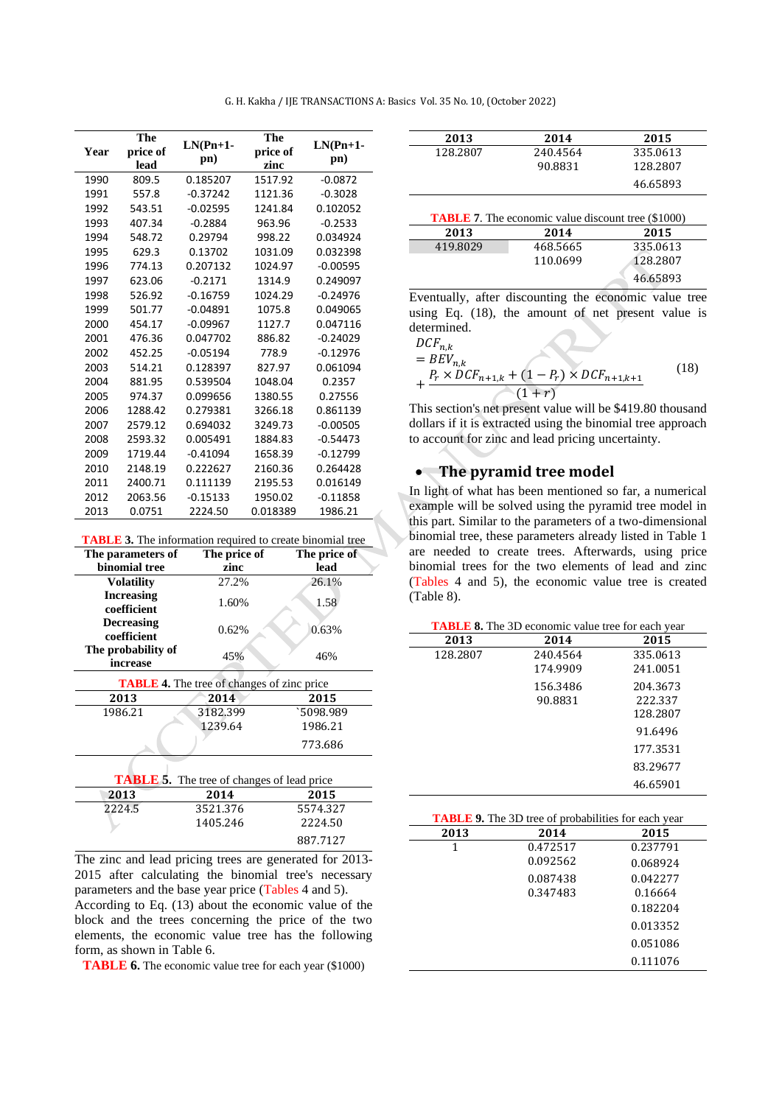| G. H. Kakha / IJE TRANSACTIONS A: Basics Vol. 35 No. 10, (October 2022) |  |
|-------------------------------------------------------------------------|--|
|-------------------------------------------------------------------------|--|

| Year | The<br>price of<br>lead | $LN(Pn+1-$<br>pn) | The<br>price of<br>zinc | $LN(Pn+1-$<br>pn) |
|------|-------------------------|-------------------|-------------------------|-------------------|
| 1990 | 809.5                   | 0.185207          | 1517.92                 | $-0.0872$         |
| 1991 | 557.8                   | $-0.37242$        | 1121.36                 | $-0.3028$         |
| 1992 | 543.51                  | $-0.02595$        | 1241.84                 | 0.102052          |
| 1993 | 407.34                  | $-0.2884$         | 963.96                  | $-0.2533$         |
| 1994 | 548.72                  | 0.29794           | 998.22                  | 0.034924          |
| 1995 | 629.3                   | 0.13702           | 1031.09                 | 0.032398          |
| 1996 | 774.13                  | 0.207132          | 1024.97                 | $-0.00595$        |
| 1997 | 623.06                  | $-0.2171$         | 1314.9                  | 0.249097          |
| 1998 | 526.92                  | $-0.16759$        | 1024.29                 | $-0.24976$        |
| 1999 | 501.77                  | $-0.04891$        | 1075.8                  | 0.049065          |
| 2000 | 454.17                  | $-0.09967$        | 1127.7                  | 0.047116          |
| 2001 | 476.36                  | 0.047702          | 886.82                  | $-0.24029$        |
| 2002 | 452.25                  | $-0.05194$        | 778.9                   | $-0.12976$        |
| 2003 | 514.21                  | 0.128397          | 827.97                  | 0.061094          |
| 2004 | 881.95                  | 0.539504          | 1048.04                 | 0.2357            |
| 2005 | 974.37                  | 0.099656          | 1380.55                 | 0.27556           |
| 2006 | 1288.42                 | 0.279381          | 3266.18                 | 0.861139          |
| 2007 | 2579.12                 | 0.694032          | 3249.73                 | $-0.00505$        |
| 2008 | 2593.32                 | 0.005491          | 1884.83                 | $-0.54473$        |
| 2009 | 1719.44                 | $-0.41094$        | 1658.39                 | $-0.12799$        |
| 2010 | 2148.19                 | 0.222627          | 2160.36                 | 0.264428          |
| 2011 | 2400.71                 | 0.111139          | 2195.53                 | 0.016149          |
| 2012 | 2063.56                 | $-0.15133$        | 1950.02                 | $-0.11858$        |
| 2013 | 0.0751                  | 2224.50           | 0.018389                | 1986.21           |

| <b>TABLE 3.</b> The information required to create binomial tree |  |  |
|------------------------------------------------------------------|--|--|
|                                                                  |  |  |

| The parameters of                                 | The price of | The price of |  |
|---------------------------------------------------|--------------|--------------|--|
| binomial tree                                     | zinc         | lead         |  |
| <b>Volatility</b>                                 | 27.2%        | 26.1%        |  |
| <b>Increasing</b><br>coefficient                  | 1.60%        | 1.58         |  |
| <b>Decreasing</b><br>coefficient                  | 0.62%        | 0.63%        |  |
| The probability of<br>increase                    | 45%          | 46%          |  |
| <b>TABLE 4.</b> The tree of changes of zinc price |              |              |  |

| 2013    | 2014     | 2015      |
|---------|----------|-----------|
| 1986.21 | 3182.399 | `5098.989 |
|         | 1239.64  | 1986.21   |
|         |          | 773.686   |
|         |          |           |

| <b>TABLE 5.</b> The tree of changes of lead price |          |          |
|---------------------------------------------------|----------|----------|
| 2013                                              | 2014     | 2015     |
| 2224.5                                            | 3521.376 | 5574.327 |
|                                                   | 1405.246 | 2224.50  |
|                                                   |          | 887.7127 |

The zinc and lead pricing trees are generated for 2013- 2015 after calculating the binomial tree's necessary parameters and the base year price (Tables 4 and 5). According to Eq. (13) about the economic value of the block and the trees concerning the price of the two elements, the economic value tree has the following form, as shown in Table 6.

**TABLE 6.** The economic value tree for each year (\$1000)

| 2013     | 2014     | 2015     |
|----------|----------|----------|
| 128.2807 | 240.4564 | 335.0613 |
|          | 90.8831  | 128.2807 |
|          |          | 46.65893 |

| <b>TABLE 7.</b> The economic value discount tree (\$1000) |          |          |  |
|-----------------------------------------------------------|----------|----------|--|
| 2013                                                      | 2014     | 2015     |  |
| 419.8029                                                  | 468.5665 | 335.0613 |  |
|                                                           | 110.0699 | 128.2807 |  |
|                                                           |          | 46.65893 |  |

Eventually, after discounting the economic value tree using Eq. (18), the amount of net present value is determined.  $\mathbb{R}^2$ 

$$
DCF_{n,k}
$$
  
=  $BEV_{n,k}$   
+  $\frac{P_r \times DCF_{n+1,k} + (1 - P_r) \times DCF_{n+1,k+1}}{(1+r)}$  (18)

This section's net present value will be \$419.80 thousand dollars if it is extracted using the binomial tree approach to account for zinc and lead pricing uncertainty.

## • **The pyramid tree model**

In light of what has been mentioned so far, a numerical example will be solved using the pyramid tree model in this part. Similar to the parameters of a two-dimensional binomial tree, these parameters already listed in Table 1 are needed to create trees. Afterwards, using price binomial trees for the two elements of lead and zinc (Tables 4 and 5), the economic value tree is created (Table 8).

| <b>TABLE 8.</b> The 3D economic value tree for each year |          |          |  |
|----------------------------------------------------------|----------|----------|--|
| 2013                                                     | 2014     | 2015     |  |
| 128.2807                                                 | 240.4564 | 335.0613 |  |
|                                                          | 174.9909 | 241.0051 |  |
|                                                          | 156.3486 | 204.3673 |  |
|                                                          | 90.8831  | 222.337  |  |
|                                                          |          | 128.2807 |  |
|                                                          |          | 91.6496  |  |
|                                                          |          | 177.3531 |  |
|                                                          |          | 83.29677 |  |
|                                                          |          | 46.65901 |  |

| <b>TABLE 9.</b> The 3D tree of probabilities for each year |          |          |  |
|------------------------------------------------------------|----------|----------|--|
| 2013                                                       | 2014     | 2015     |  |
| 1                                                          | 0.472517 | 0.237791 |  |
|                                                            | 0.092562 | 0.068924 |  |
|                                                            | 0.087438 | 0.042277 |  |
|                                                            | 0.347483 | 0.16664  |  |
|                                                            |          | 0.182204 |  |
|                                                            |          | 0.013352 |  |
|                                                            |          | 0.051086 |  |
|                                                            |          | 0.111076 |  |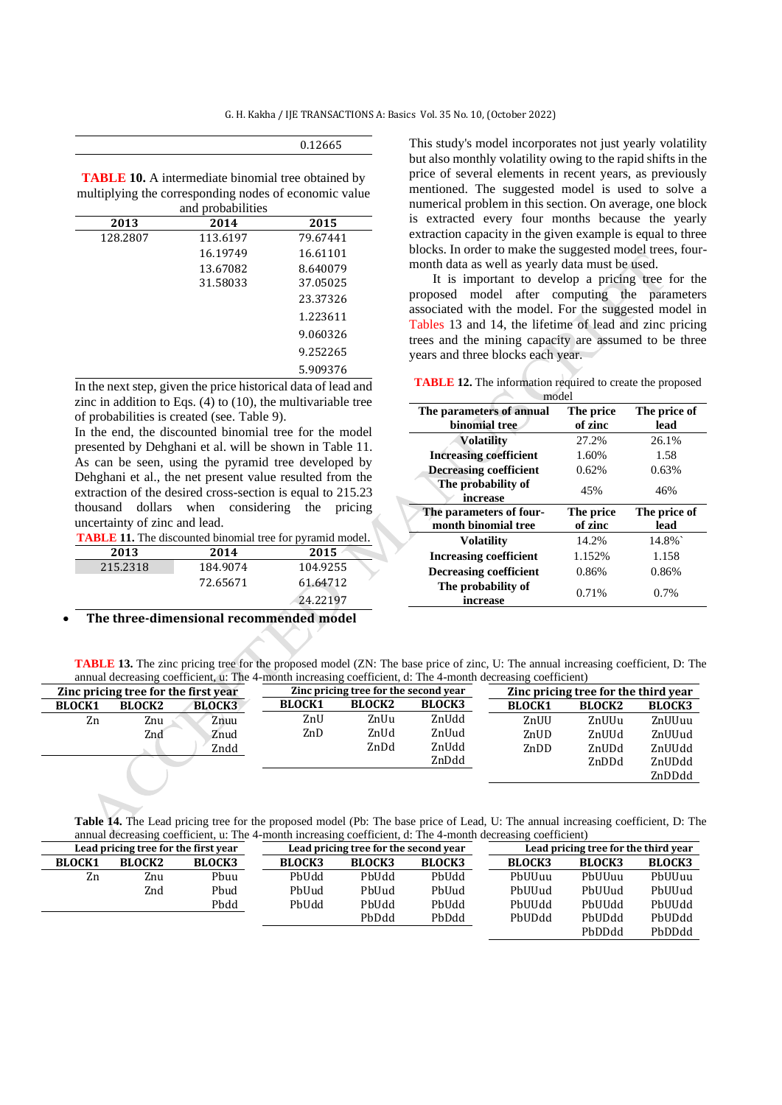| 0.12665 |  |
|---------|--|
|---------|--|

**TABLE 10.** A intermediate binomial tree obtained by multiplying the corresponding nodes of economic value .<br>d probabilities

| 2013     | 2014     | 2015     |
|----------|----------|----------|
| 128.2807 | 113.6197 | 79.67441 |
|          | 16.19749 | 16.61101 |
|          | 13.67082 | 8.640079 |
|          | 31.58033 | 37.05025 |
|          |          | 23.37326 |
|          |          | 1.223611 |
|          |          | 9.060326 |
|          |          | 9.252265 |
|          |          | 5.909376 |

In the next step, given the price historical data of lead and zinc in addition to Eqs. (4) to (10), the multivariable tree of probabilities is created (see. Table 9).

In the end, the discounted binomial tree for the model presented by Dehghani et al. will be shown in Table 11. As can be seen, using the pyramid tree developed by Dehghani et al., the net present value resulted from the extraction of the desired cross-section is equal to 215.23 thousand dollars when considering the pricing uncertainty of zinc and lead.

**TABLE 11.** The discounted binomial tree for pyramid model.

| 2013     | 2014     | 2015     |
|----------|----------|----------|
| 215.2318 | 184.9074 | 104.9255 |
|          | 72.65671 | 61.64712 |
|          |          | 24.22197 |

#### • **The three-dimensional recommended model**

This study's model incorporates not just yearly volatility but also monthly volatility owing to the rapid shifts in the price of several elements in recent years, as previously mentioned. The suggested model is used to solve a numerical problem in this section. On average, one block is extracted every four months because the yearly extraction capacity in the given example is equal to three blocks. In order to make the suggested model trees, fourmonth data as well as yearly data must be used.

It is important to develop a pricing tree for the proposed model after computing the parameters associated with the model. For the suggested model in Tables 13 and 14, the lifetime of lead and zinc pricing trees and the mining capacity are assumed to be three years and three blocks each year.

**TABLE 12.** The information required to create the proposed model

| HIOUCI                                         |                      |                      |
|------------------------------------------------|----------------------|----------------------|
| The parameters of annual<br>binomial tree      | The price<br>of zinc | The price of<br>lead |
| <b>Volatility</b>                              | 27.2%                | 26.1%                |
| <b>Increasing coefficient</b>                  | 1.60%                | 1.58                 |
| <b>Decreasing coefficient</b>                  | 0.62%                | 0.63%                |
| The probability of<br>increase                 | 45%                  | 46%                  |
|                                                |                      |                      |
| The parameters of four-<br>month binomial tree | The price<br>of zinc | The price of<br>lead |
| <b>Volatility</b>                              | 14.2%                | 14.8%                |
| <b>Increasing coefficient</b>                  | 1.152%               | 1.158                |
| <b>Decreasing coefficient</b>                  | 0.86%                | 0.86%                |
| The probability of<br>increase                 | 0.71%                | $0.7\%$              |

**TABLE 13.** The zinc pricing tree for the proposed model (ZN: The base price of zinc, U: The annual increasing coefficient, D: The annual decreasing coefficient, u: The 4-month increasing coefficient, d: The 4-month decreasing coefficient)

|                                                                               |               |               |               | ------------                         |               |               |               |               |
|-------------------------------------------------------------------------------|---------------|---------------|---------------|--------------------------------------|---------------|---------------|---------------|---------------|
| Zinc pricing tree for the second year<br>Zinc pricing tree for the first year |               |               |               | Zinc pricing tree for the third year |               |               |               |               |
| <b>BLOCK1</b>                                                                 | <b>BLOCK2</b> | <b>BLOCK3</b> | <b>BLOCK1</b> | <b>BLOCK2</b>                        | <b>BLOCK3</b> | <b>BLOCK1</b> | <b>BLOCK2</b> | <b>BLOCK3</b> |
| Zn                                                                            | Znu           | Znuu          | ZnU           | ZnUu                                 | ZnUdd         | ZnUU          | ZnUUu         | ZnUUuu        |
|                                                                               | Znd           | Znud          | ZnD           | ZnUd                                 | ZnUud         | ZnUD          | ZnUUd         | ZnUUud        |
|                                                                               |               | Zndd          |               | ZnDd                                 | ZnUdd         | ZnDD          | ZnUDd         | ZnUUdd        |
|                                                                               |               |               |               |                                      | ZnDdd         |               | ZnDDd         | ZnUDdd        |
|                                                                               |               |               |               |                                      |               |               |               | ZnDDdd        |

**Table 14.** The Lead pricing tree for the proposed model (Pb: The base price of Lead, U: The annual increasing coefficient, D: The annual decreasing coefficient, u: The 4-month increasing coefficient, d: The 4-month decreasing coefficient)

| Lead pricing tree for the first year |               |               | Lead pricing tree for the second year |               |               |               | Lead pricing tree for the third year |               |
|--------------------------------------|---------------|---------------|---------------------------------------|---------------|---------------|---------------|--------------------------------------|---------------|
| <b>BLOCK1</b>                        | <b>BLOCK2</b> | <b>BLOCK3</b> | <b>BLOCK3</b>                         | <b>BLOCK3</b> | <b>BLOCK3</b> | <b>BLOCK3</b> | <b>BLOCK3</b>                        | <b>BLOCK3</b> |
| Zn                                   | Znu           | Pbuu          | PbUdd                                 | PbUdd         | PbUdd         | PhUUuu        | PhUUuu                               | PhUUuu        |
|                                      | Znd           | Phud          | PbUud                                 | PbUud         | PbUud         | PhUUud        | PhIJUud                              | PhIJUud       |
|                                      |               | Pbdd          | PbUdd                                 | PbUdd         | PbUdd         | PbUUdd        | PbUUdd                               | PbUUdd        |
|                                      |               |               |                                       | PbDdd         | PbDdd         | PhUDdd        | PhUDdd                               | PbUDdd        |
|                                      |               |               |                                       |               |               |               | PhDDdd                               | PbDDdd        |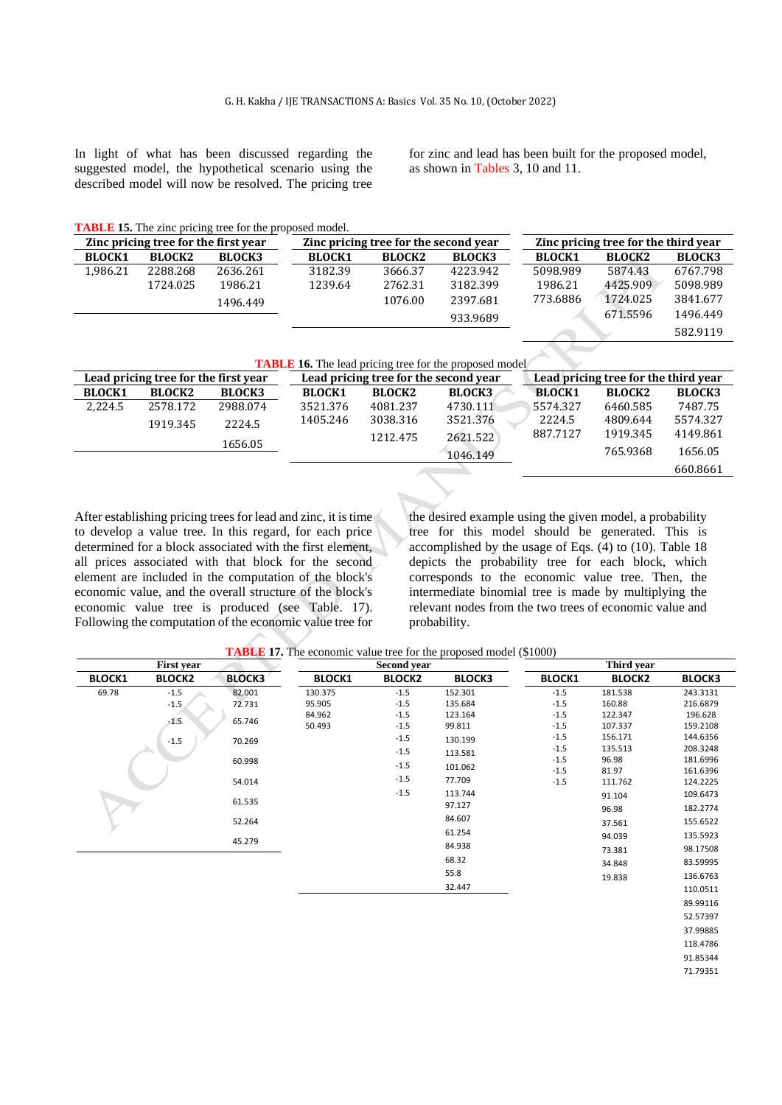In light of what has been discussed regarding the suggested model, the hypothetical scenario using the described model will now be resolved. The pricing tree for zinc and lead has been built for the proposed model, as shown in Tables 3, 10 and 11.

**TABLE 15.** The zinc pricing tree for the proposed model.

| Zinc pricing tree for the first year |               |               | Zinc pricing tree for the second year |               |               | Zinc pricing tree for the third year |               |               |
|--------------------------------------|---------------|---------------|---------------------------------------|---------------|---------------|--------------------------------------|---------------|---------------|
| <b>BLOCK1</b>                        | <b>BLOCK2</b> | <b>BLOCK3</b> | <b>BLOCK1</b>                         | <b>BLOCK2</b> | <b>BLOCK3</b> | <b>BLOCK1</b>                        | <b>BLOCK2</b> | <b>BLOCK3</b> |
| 1,986.21                             | 2288.268      | 2636.261      | 3182.39                               | 3666.37       | 4223.942      | 5098.989                             | 5874.43       | 6767.798      |
|                                      | 1724.025      | 1986.21       | 1239.64                               | 2762.31       | 3182.399      | 1986.21                              | 4425.909      | 5098.989      |
|                                      |               | 1496.449      |                                       | 1076.00       | 2397.681      | 773.6886                             | 1724.025      | 3841.677      |
|                                      |               |               |                                       |               | 933.9689      |                                      | 671.5596      | 1496.449      |
|                                      |               |               |                                       |               |               |                                      |               | 582.9119      |
|                                      |               |               |                                       |               |               |                                      |               |               |

|                                      |               |               |               |                                       | <b>TABLE 16.</b> The lead pricing tree for the proposed model |               |                                      |               |  |
|--------------------------------------|---------------|---------------|---------------|---------------------------------------|---------------------------------------------------------------|---------------|--------------------------------------|---------------|--|
| Lead pricing tree for the first year |               |               |               | Lead pricing tree for the second year |                                                               |               | Lead pricing tree for the third year |               |  |
| <b>BLOCK1</b>                        | <b>BLOCK2</b> | <b>BLOCK3</b> | <b>BLOCK1</b> | <b>BLOCK2</b>                         | <b>BLOCK3</b>                                                 | <b>BLOCK1</b> | <b>BLOCK2</b>                        | <b>BLOCK3</b> |  |
| 2.224.5                              | 2578.172      | 2988.074      | 3521.376      | 4081.237                              | 4730.111                                                      | 5574.327      | 6460.585                             | 7487.75       |  |
|                                      | 1919.345      | 2224.5        | 1405.246      | 3038.316                              | 3521.376                                                      | 2224.5        | 4809.644                             | 5574.327      |  |
|                                      |               |               |               | 1212.475                              | 2621.522                                                      | 887.7127      | 1919.345                             | 4149.861      |  |
|                                      |               | 1656.05       |               |                                       | 1046.149                                                      |               | 765.9368                             | 1656.05       |  |
|                                      |               |               |               |                                       |                                                               |               |                                      | 660.8661      |  |
|                                      |               |               |               |                                       |                                                               |               |                                      |               |  |

After establishing pricing trees for lead and zinc, it is time to develop a value tree. In this regard, for each price determined for a block associated with the first element, all prices associated with that block for the second element are included in the computation of the block's economic value, and the overall structure of the block's economic value tree is produced (see Table. 17). Following the computation of the economic value tree for

the desired example using the given model, a probability tree for this model should be generated. This is accomplished by the usage of Eqs. (4) to (10). Table 18 depicts the probability tree for each block, which corresponds to the economic value tree. Then, the intermediate binomial tree is made by multiplying the relevant nodes from the two trees of economic value and probability.

**TABLE 17.** The economic value tree for the proposed model (\$1000)

|               | <b>First year</b> |               |               | Second year   |               |               | Third vear    |               |
|---------------|-------------------|---------------|---------------|---------------|---------------|---------------|---------------|---------------|
| <b>BLOCK1</b> | <b>BLOCK2</b>     | <b>BLOCK3</b> | <b>BLOCK1</b> | <b>BLOCK2</b> | <b>BLOCK3</b> | <b>BLOCK1</b> | <b>BLOCK2</b> | <b>BLOCK3</b> |
| 69.78         | $-1.5$            | 82.001        | 130.375       | $-1.5$        | 152.301       | $-1.5$        | 181.538       | 243.3131      |
|               | $-1.5$            | 72.731        | 95.905        | $-1.5$        | 135.684       | $-1.5$        | 160.88        | 216.6879      |
|               |                   |               | 84.962        | $-1.5$        | 123.164       | $-1.5$        | 122.347       | 196.628       |
|               | $-1.5$            | 65.746        | 50.493        | $-1.5$        | 99.811        | $-1.5$        | 107.337       | 159.2108      |
|               | $-1.5$            | 70.269        |               | $-1.5$        | 130.199       | $-1.5$        | 156.171       | 144.6356      |
|               |                   |               |               | $-1.5$        | 113.581       | $-1.5$        | 135.513       | 208.3248      |
|               |                   | 60.998        |               | $-1.5$        | 101.062       | $-1.5$        | 96.98         | 181.6996      |
|               |                   |               |               | $-1.5$        |               | $-1.5$        | 81.97         | 161.6396      |
|               |                   | 54.014        |               |               | 77.709        | $-1.5$        | 111.762       | 124.2225      |
|               |                   | 61.535        |               | $-1.5$        | 113.744       |               | 91.104        | 109.6473      |
|               |                   |               |               |               | 97.127        |               | 96.98         | 182.2774      |
|               |                   | 52.264        |               |               | 84.607        |               | 37.561        | 155.6522      |
|               |                   |               |               |               | 61.254        |               | 94.039        | 135.5923      |
|               |                   | 45.279        |               |               | 84.938        |               | 73.381        | 98.17508      |
|               |                   |               |               |               | 68.32         |               | 34.848        | 83.59995      |
|               |                   |               |               |               | 55.8          |               | 19.838        | 136.6763      |
|               |                   |               |               |               | 32.447        |               |               | 110.0511      |
|               |                   |               |               |               |               |               |               | 89.99116      |
|               |                   |               |               |               |               |               |               | 52.57397      |
|               |                   |               |               |               |               |               |               | 37.99885      |

118.4786 91.85344

71.79351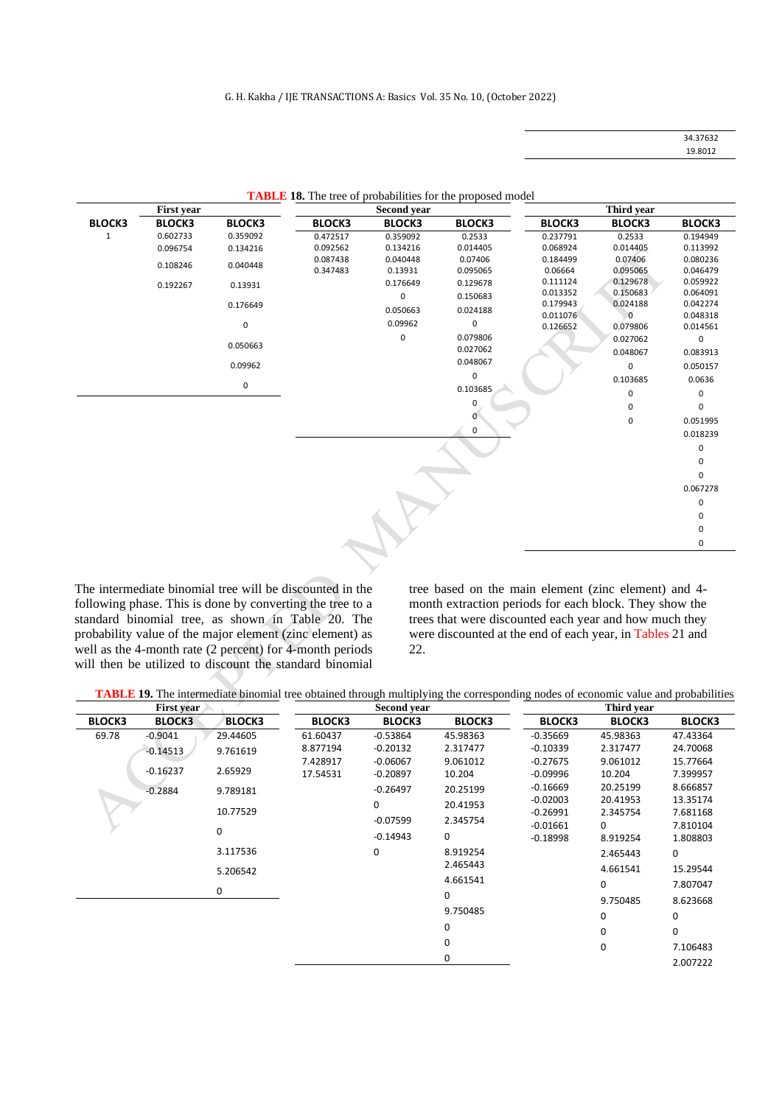| 34.37632 |  |
|----------|--|
| 19.8012  |  |

|               | <b>First year</b> |               |               | <b>Second year</b> |               |                      | Third year                 |                      |
|---------------|-------------------|---------------|---------------|--------------------|---------------|----------------------|----------------------------|----------------------|
| <b>BLOCK3</b> | <b>BLOCK3</b>     | <b>BLOCK3</b> | <b>BLOCK3</b> | <b>BLOCK3</b>      | <b>BLOCK3</b> | <b>BLOCK3</b>        | <b>BLOCK3</b>              | <b>BLOCK3</b>        |
| $\mathbf{1}$  | 0.602733          | 0.359092      | 0.472517      | 0.359092           | 0.2533        | 0.237791             | 0.2533                     | 0.194949             |
|               | 0.096754          | 0.134216      | 0.092562      | 0.134216           | 0.014405      | 0.068924             | 0.014405                   | 0.113992             |
|               | 0.108246          | 0.040448      | 0.087438      | 0.040448           | 0.07406       | 0.184499             | 0.07406                    | 0.080236             |
|               |                   |               | 0.347483      | 0.13931            | 0.095065      | 0.06664              | 0.095065                   | 0.046479             |
|               | 0.192267          | 0.13931       |               | 0.176649           | 0.129678      | 0.111124             | 0.129678                   | 0.059922             |
|               |                   |               |               | 0                  | 0.150683      | 0.013352             | 0.150683                   | 0.064091             |
|               |                   | 0.176649      |               | 0.050663           | 0.024188      | 0.179943<br>0.011076 | 0.024188<br>$\overline{0}$ | 0.042274<br>0.048318 |
|               |                   | 0             |               | 0.09962            | 0             | 0.126652             | 0.079806                   | 0.014561             |
|               |                   |               |               | 0                  | 0.079806      |                      | 0.027062                   | 0                    |
|               |                   | 0.050663      |               |                    | 0.027062      |                      | 0.048067                   | 0.083913             |
|               |                   |               |               |                    | 0.048067      |                      |                            |                      |
|               |                   | 0.09962       |               |                    | 0             |                      | 0                          | 0.050157             |
|               |                   | 0             |               |                    | 0.103685      |                      | 0.103685                   | 0.0636               |
|               |                   |               |               |                    |               |                      | 0                          | 0                    |
|               |                   |               |               |                    | 0             |                      | 0                          | 0                    |
|               |                   |               |               |                    | 0             |                      | 0                          | 0.051995             |
|               |                   |               |               |                    | 0             |                      |                            | 0.018239             |
|               |                   |               |               |                    |               |                      |                            | 0                    |
|               |                   |               |               |                    |               |                      |                            | 0                    |
|               |                   |               |               |                    |               |                      |                            | <sup>0</sup>         |
|               |                   |               |               |                    |               |                      |                            | 0.067278             |
|               |                   |               |               |                    |               |                      |                            | 0                    |
|               |                   |               |               |                    |               |                      |                            | 0                    |
|               |                   |               |               |                    |               |                      |                            | 0                    |
|               |                   |               |               |                    |               |                      |                            | 0                    |
|               |                   |               |               |                    |               |                      |                            |                      |
|               |                   |               |               |                    |               |                      |                            |                      |

|  |  | <b>TABLE 18.</b> The tree of probabilities for the proposed model |  |  |
|--|--|-------------------------------------------------------------------|--|--|
|--|--|-------------------------------------------------------------------|--|--|

The intermediate binomial tree will be discounted in the following phase. This is done by converting the tree to a standard binomial tree, as shown in Table 20. The probability value of the major element (zinc element) as well as the 4-month rate (2 percent) for 4-month periods will then be utilized to discount the standard binomial tree based on the main element (zinc element) and 4 month extraction periods for each block. They show the trees that were discounted each year and how much they were discounted at the end of each year, in Tables 21 and 22.

**TABLE 19.** The intermediate binomial tree obtained through multiplying the corresponding nodes of economic value and probabilities

| <b>First year</b> |               |               |               | <b>Second year</b> |               |               | Third vear    |               |  |
|-------------------|---------------|---------------|---------------|--------------------|---------------|---------------|---------------|---------------|--|
| <b>BLOCK3</b>     | <b>BLOCK3</b> | <b>BLOCK3</b> | <b>BLOCK3</b> | <b>BLOCK3</b>      | <b>BLOCK3</b> | <b>BLOCK3</b> | <b>BLOCK3</b> | <b>BLOCK3</b> |  |
| 69.78             | $-0.9041$     | 29.44605      | 61.60437      | $-0.53864$         | 45.98363      | $-0.35669$    | 45.98363      | 47.43364      |  |
|                   | $-0.14513$    | 9.761619      | 8.877194      | $-0.20132$         | 2.317477      | $-0.10339$    | 2.317477      | 24.70068      |  |
|                   |               |               | 7.428917      | $-0.06067$         | 9.061012      | $-0.27675$    | 9.061012      | 15.77664      |  |
|                   | $-0.16237$    | 2.65929       | 17.54531      | $-0.20897$         | 10.204        | $-0.09996$    | 10.204        | 7.399957      |  |
|                   | $-0.2884$     | 9.789181      |               | $-0.26497$         | 20.25199      | $-0.16669$    | 20.25199      | 8.666857      |  |
|                   |               |               |               | 0                  | 20.41953      | $-0.02003$    | 20.41953      | 13.35174      |  |
|                   |               | 10.77529      |               | $-0.07599$         | 2.345754      | $-0.26991$    | 2.345754      | 7.681168      |  |
|                   |               | 0             |               |                    |               | $-0.01661$    | 0             | 7.810104      |  |
|                   |               |               |               | $-0.14943$         | 0             | $-0.18998$    | 8.919254      | 1.808803      |  |
|                   |               | 3.117536      |               | 0                  | 8.919254      |               | 2.465443      | 0             |  |
|                   |               | 5.206542      |               |                    | 2.465443      |               | 4.661541      | 15.29544      |  |
|                   |               |               |               |                    | 4.661541      |               | 0             | 7.807047      |  |
|                   |               | 0             |               |                    | 0             |               | 9.750485      | 8.623668      |  |
|                   |               |               |               |                    | 9.750485      |               | 0             | 0             |  |
|                   |               |               |               |                    | 0             |               |               |               |  |
|                   |               |               |               |                    |               |               | $\Omega$      | 0             |  |
|                   |               |               |               |                    | 0             |               | 0             | 7.106483      |  |
|                   |               |               |               |                    | 0             |               |               | 2.007222      |  |
|                   |               |               |               |                    |               |               |               |               |  |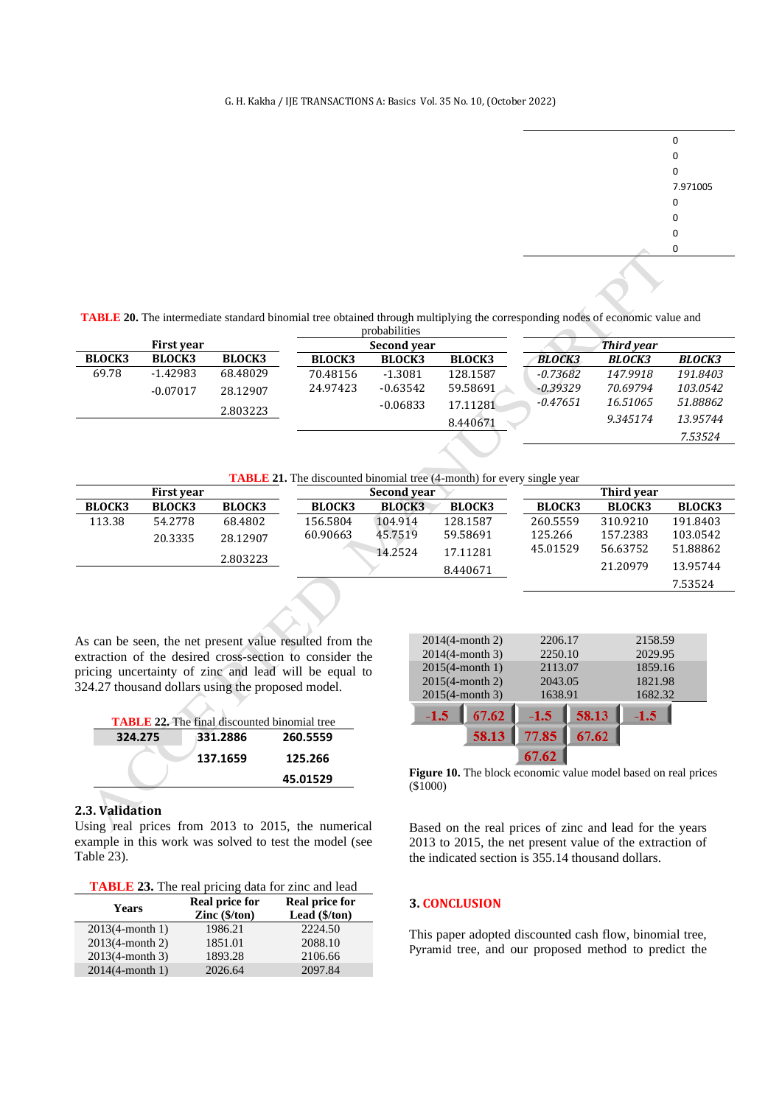#### G. H. Kakha / IJE TRANSACTIONS A: Basics Vol. 35 No. 10, (October 2022)



7.53524

**TABLE 20.** The intermediate standard binomial tree obtained through multiplying the corresponding nodes of economic value and

|                   |               | probabilities |               |                    |               |                   |               |               |
|-------------------|---------------|---------------|---------------|--------------------|---------------|-------------------|---------------|---------------|
| <b>First year</b> |               |               |               | <b>Second year</b> |               | <b>Third year</b> |               |               |
| <b>BLOCK3</b>     | <b>BLOCK3</b> | <b>BLOCK3</b> | <b>BLOCK3</b> | <b>BLOCK3</b>      | <b>BLOCK3</b> | <b>BLOCK3</b>     | <b>BLOCK3</b> | <b>BLOCK3</b> |
| 69.78             | $-1.42983$    | 68.48029      | 70.48156      | $-1.3081$          | 128.1587      | $-0.73682$        | 147.9918      | 191.8403      |
|                   | $-0.07017$    | 28.12907      | 24.97423      | $-0.63542$         | 59.58691      | $-0.39329$        | 70.69794      | 103.0542      |
|                   |               | 2.803223      |               | $-0.06833$         | 17.11281      | $-0.47651$        | 16.51065      | 51.88862      |
|                   |               |               |               |                    | 8.440671      |                   | 9.345174      | 13.95744      |
|                   |               |               |               |                    |               |                   |               | 7.53524       |

**TABLE 21.** The discounted binomial tree (4-month) for every single year

|               | <b>First vear</b> |               |               | Second year   |               |               | Third vear    |               |
|---------------|-------------------|---------------|---------------|---------------|---------------|---------------|---------------|---------------|
| <b>BLOCK3</b> | <b>BLOCK3</b>     | <b>BLOCK3</b> | <b>BLOCK3</b> | <b>BLOCK3</b> | <b>BLOCK3</b> | <b>BLOCK3</b> | <b>BLOCK3</b> | <b>BLOCK3</b> |
| 113.38        | 54.2778           | 68.4802       | 156.5804      | 104.914       | 128.1587      | 260.5559      | 310.9210      | 191.8403      |
|               | 20.3335           | 28.12907      | 60.90663      | 45.7519       | 59.58691      | 125.266       | 157.2383      | 103.0542      |
|               |                   | 2.803223      |               | 14.2524       | 17.11281      | 45.01529      | 56.63752      | 51.88862      |
|               |                   |               |               |               | 8.440671      |               | 21.20979      | 13.95744      |

As can be seen, the net present value resulted from the extraction of the desired cross-section to consider the pricing uncertainty of zinc and lead will be equal to 324.27 thousand dollars using the proposed model.

| <b>TABLE 22.</b> The final discounted binomial tree |          |          |  |  |  |
|-----------------------------------------------------|----------|----------|--|--|--|
| 324.275                                             | 331.2886 | 260.5559 |  |  |  |
|                                                     | 137.1659 | 125.266  |  |  |  |
|                                                     |          | 45.01529 |  |  |  |
|                                                     |          |          |  |  |  |

 $\mathbf{h}$ 

## **2.3. Validation**

Using real prices from 2013 to 2015, the numerical example in this work was solved to test the model (see Table 23).

| <b>TABLE 23.</b> The real pricing data for zinc and lead |  |  |
|----------------------------------------------------------|--|--|
|                                                          |  |  |

| <b>The Extra Community of the Community of the community of the set of the set of the set of the set of the set of the set of the set of the set of the set of the set of the set of the set of the set of the set of the set of</b> |                                                 |                                                            |  |  |  |  |
|--------------------------------------------------------------------------------------------------------------------------------------------------------------------------------------------------------------------------------------|-------------------------------------------------|------------------------------------------------------------|--|--|--|--|
| <b>Years</b>                                                                                                                                                                                                                         | <b>Real price for</b><br>$\text{Zinc}$ (\$/ton) | <b>Real price for</b><br>Lead $(\frac{1}{2} / \text{ton})$ |  |  |  |  |
| $2013(4-month 1)$                                                                                                                                                                                                                    | 1986.21                                         | 2224.50                                                    |  |  |  |  |
| $2013(4-month 2)$                                                                                                                                                                                                                    | 1851.01                                         | 2088.10                                                    |  |  |  |  |
| $2013(4-month 3)$                                                                                                                                                                                                                    | 1893.28                                         | 2106.66                                                    |  |  |  |  |
| $2014(4 \text{-month } 1)$                                                                                                                                                                                                           | 2026.64                                         | 2097.84                                                    |  |  |  |  |

| $2014(4 \text{-month } 2)$ | 2206.17 |       | 2158.59 |
|----------------------------|---------|-------|---------|
| $2014(4 \text{-month } 3)$ | 2250.10 |       | 2029.95 |
| $2015(4 \text{-month } 1)$ | 2113.07 |       | 1859.16 |
| $2015(4 \text{-month } 2)$ | 2043.05 |       | 1821.98 |
| $2015(4 \text{-month } 3)$ | 1638.91 |       | 1682.32 |
| 67.62<br>$-1.5$            | $-1.5$  | 58.13 | $-1.5$  |
| 58.13                      | 77.85   | 67.62 |         |
|                            |         |       |         |

**Figure 10.** The block economic value model based on real prices (\$1000)

Based on the real prices of zinc and lead for the years 2013 to 2015, the net present value of the extraction of the indicated section is 355.14 thousand dollars.

## **3. CONCLUSION**

This paper adopted discounted cash flow, binomial tree, Pyramid tree, and our proposed method to predict the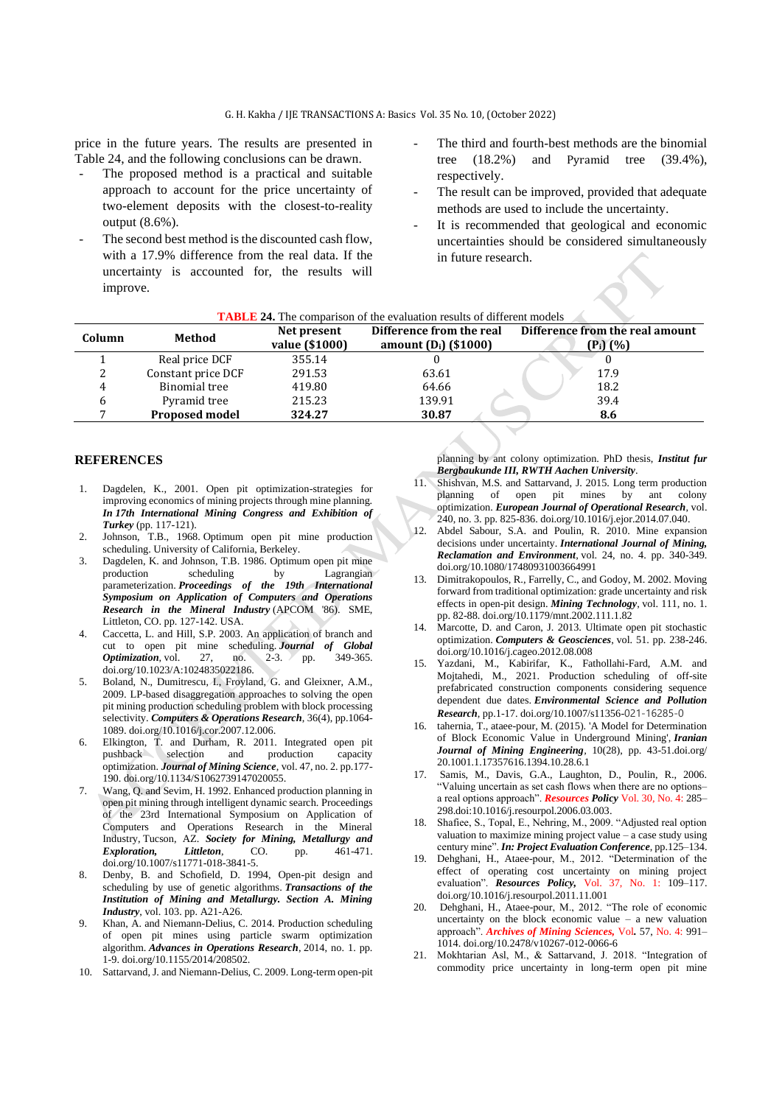price in the future years. The results are presented in Table 24, and the following conclusions can be drawn.

- The proposed method is a practical and suitable approach to account for the price uncertainty of two-element deposits with the closest-to-reality output (8.6%).
- The second best method is the discounted cash flow, with a 17.9% difference from the real data. If the uncertainty is accounted for, the results will improve.
- The third and fourth-best methods are the binomial tree (18.2%) and Pyramid tree (39.4%), respectively.
- The result can be improved, provided that adequate methods are used to include the uncertainty.
- It is recommended that geological and economic uncertainties should be considered simultaneously in future research.

| <b>TABLE 24.</b> The comparison of the evaluation results of different models |                       |                               |                                                     |                                                          |  |  |
|-------------------------------------------------------------------------------|-----------------------|-------------------------------|-----------------------------------------------------|----------------------------------------------------------|--|--|
| Column                                                                        | Method                | Net present<br>value (\$1000) | Difference from the real<br>amount $(D_i)$ (\$1000) | Difference from the real amount<br>(P <sub>i</sub> ) (%) |  |  |
|                                                                               | Real price DCF        | 355.14                        |                                                     |                                                          |  |  |
|                                                                               | Constant price DCF    | 291.53                        | 63.61                                               | 17.9                                                     |  |  |
| 4                                                                             | Binomial tree         | 419.80                        | 64.66                                               | 18.2                                                     |  |  |
|                                                                               | Pyramid tree          | 215.23                        | 139.91                                              | 39.4                                                     |  |  |
|                                                                               | <b>Proposed model</b> | 324.27                        | 30.87                                               | 8.6                                                      |  |  |

### **REFERENCES**

- 1. Dagdelen, K., 2001. Open pit optimization-strategies for improving economics of mining projects through mine planning. *In 17th International Mining Congress and Exhibition of Turkey* (pp. 117-121).
- 2. Johnson, T.B., 1968. Optimum open pit mine production scheduling. University of California, Berkeley.
- 3. Dagdelen, K. and Johnson, T.B. 1986. Optimum open pit mine production scheduling by Lagrangian parameterization. *Proceedings of the 19th International Symposium on Application of Computers and Operations Research in the Mineral Industry* (APCOM '86). SME, Littleton, CO. pp. 127-142. USA.
- 4. Caccetta, L. and Hill, S.P. 2003. An application of branch and cut to open pit mine scheduling. *Journal of Global Optimization*, vol. 27, no. 2-3. pp. doi.org/10.1023/A:1024835022186.
- 5. Boland, N., Dumitrescu, I., Froyland, G. and Gleixner, A.M., 2009. LP-based disaggregation approaches to solving the open pit mining production scheduling problem with block processing selectivity. *Computers & Operations Research*, 36(4), pp.1064- 1089[. doi.org/10.1016/j.cor.2007.12.006.](https://doi.org/10.1016/j.cor.2007.12.006)
- 6. Elkington, T. and Durham, R. 2011. Integrated open pit production capacity optimization. *Journal of Mining Science*, vol. 47, no. 2. pp.177- 190. doi.org/10.1134/S1062739147020055.
- 7. Wang, Q. and Sevim, H. 1992. Enhanced production planning in open pit mining through intelligent dynamic search. Proceedings of the 23rd International Symposium on Application of Computers and Operations Research in the Mineral Industry, Tucson, AZ. *Society for Mining, Metallurgy and Exploration, Littleton*, CO. pp. 461-471. doi.org/10.1007/s11771-018-3841-5.
- Denby, B. and Schofield, D. 1994, Open-pit design and scheduling by use of genetic algorithms. *Transactions of the Institution of Mining and Metallurgy. Section A. Mining Industry*, vol. 103. pp. A21-A26.
- 9. Khan, A. and Niemann-Delius, C. 2014. Production scheduling of open pit mines using particle swarm optimization algorithm. *Advances in Operations Research*, 2014, no. 1. pp. 1-9. [doi.org/10.1155/2014/208502.](https://doi.org/10.1155/2014/208502)
- 10. Sattarvand, J. and Niemann-Delius, C. 2009. Long-term open-pit

planning by ant colony optimization. PhD thesis, *Institut fur Bergbaukunde III, RWTH Aachen University*.

- 11. Shishvan, M.S. and Sattarvand, J. 2015. Long term production planning of open pit mines by ant colony optimization. *European Journal of Operational Research*, vol. 240, no. 3. pp. 825-836[. doi.org/10.1016/j.ejor.2014.07.040.](https://doi.org/10.1016/j.ejor.2014.07.040)
- 12. Abdel Sabour, S.A. and Poulin, R. 2010. Mine expansion decisions under uncertainty. *International Journal of Mining, Reclamation and Environment*, vol. 24, no. 4. pp. 340-349. [doi.org/10.1080/17480931003664991](https://doi.org/10.1080/17480931003664991)
- 13. Dimitrakopoulos, R., Farrelly, C., and Godoy, M. 2002. Moving forward from traditional optimization: grade uncertainty and risk effects in open-pit design. *Mining Technology*, vol. 111, no. 1. pp. 82-88[. doi.org/10.1179/mnt.2002.111.1.82](https://doi.org/10.1179/mnt.2002.111.1.82)
- 14. Marcotte, D. and Caron, J. 2013. Ultimate open pit stochastic optimization. *Computers & Geosciences*, vol. 51. pp. 238-246. [doi.org/10.1016/j.cageo.2012.08.008](https://doi.org/10.1016/j.cageo.2012.08.008)
- 15. Yazdani, M., Kabirifar, K., Fathollahi-Fard, A.M. and Mojtahedi, M., 2021. Production scheduling of off-site prefabricated construction components considering sequence dependent due dates. *Environmental Science and Pollution Research*, pp.1-17. doi.org/10.1007/s11356-021-16285-0
- 16. tahernia, T., ataee-pour, M. (2015). 'A Model for Determination of Block Economic Value in Underground Mining', *Iranian Journal of Mining Engineering,* 10(28), pp. 43-51.doi.org/ [20.1001.1.17357616.1394.10.28.6.1](https://dorl.net/dor/20.1001.1.17357616.1394.10.28.6.1)
- 17. Samis, M., Davis, G.A., Laughton, D., Poulin, R., 2006. "Valuing uncertain as set cash flows when there are no options– a real options approach". *Resources Policy* Vol. 30, No. 4: 285– 298.do[i:10.1016/j.resourpol.2006.03.003.](http://dx.doi.org/10.1016/j.resourpol.2006.03.003)
- 18. Shafiee, S., Topal, E., Nehring, M., 2009. "Adjusted real option valuation to maximize mining project value – a case study using century mine". *In: Project Evaluation Conference*, pp.125–134.
- 19. Dehghani, H., Ataee-pour, M., 2012. "Determination of the effect of operating cost uncertainty on mining project evaluation". *Resources Policy,* Vol. 37, No. 1: 109–117. [doi.org/10.1016/j.resourpol.2011.11.001](https://doi.org/10.1016/j.resourpol.2011.11.001)
- 20. Dehghani, H., Ataee-pour, M., 2012. "The role of economic uncertainty on the block economic value  $-$  a new valuation approach". *Archives of Mining Sciences,* Vol*.* 57, No. 4: 991– 1014. doi.org[/10.2478/v10267-012-0066-6](https://ui.adsabs.harvard.edu/link_gateway/2012ArMiS..57..991D/doi:10.2478/v10267-012-0066-6)
- 21. Mokhtarian Asl, M., & Sattarvand, J. 2018. "Integration of commodity price uncertainty in long-term open pit mine